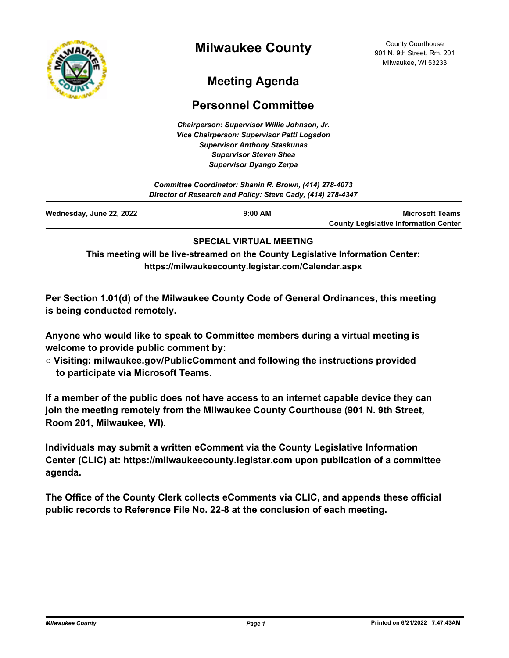

# **Milwaukee County**

County Courthouse 901 N. 9th Street, Rm. 201 Milwaukee, WI 53233

# **Meeting Agenda**

# **Personnel Committee**

*Chairperson: Supervisor Willie Johnson, Jr. Vice Chairperson: Supervisor Patti Logsdon Supervisor Anthony Staskunas Supervisor Steven Shea Supervisor Dyango Zerpa*

| Committee Coordinator: Shanin R. Brown, (414) 278-4073<br>Director of Research and Policy: Steve Cady, (414) 278-4347 |  |                                              |
|-----------------------------------------------------------------------------------------------------------------------|--|----------------------------------------------|
|                                                                                                                       |  |                                              |
|                                                                                                                       |  | <b>County Legislative Information Center</b> |

#### **SPECIAL VIRTUAL MEETING**

**This meeting will be live-streamed on the County Legislative Information Center: https://milwaukeecounty.legistar.com/Calendar.aspx**

**Per Section 1.01(d) of the Milwaukee County Code of General Ordinances, this meeting is being conducted remotely.**

**Anyone who would like to speak to Committee members during a virtual meeting is welcome to provide public comment by:**

**○ Visiting: milwaukee.gov/PublicComment and following the instructions provided to participate via Microsoft Teams.**

**If a member of the public does not have access to an internet capable device they can join the meeting remotely from the Milwaukee County Courthouse (901 N. 9th Street, Room 201, Milwaukee, WI).**

**Individuals may submit a written eComment via the County Legislative Information Center (CLIC) at: https://milwaukeecounty.legistar.com upon publication of a committee agenda.**

**The Office of the County Clerk collects eComments via CLIC, and appends these official public records to Reference File No. 22-8 at the conclusion of each meeting.**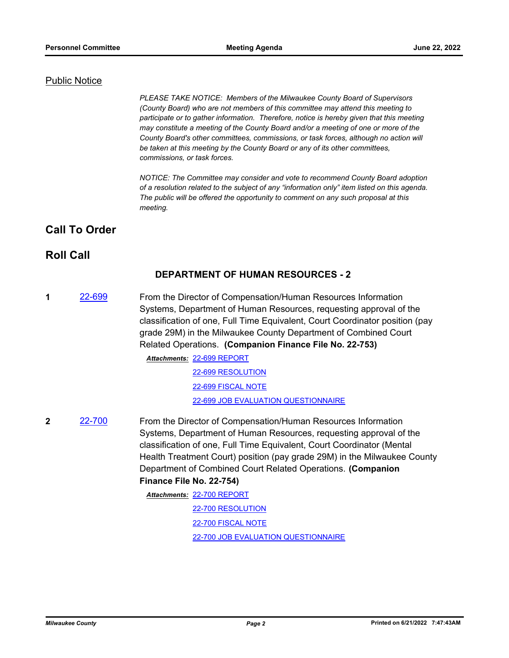#### Public Notice

*PLEASE TAKE NOTICE: Members of the Milwaukee County Board of Supervisors (County Board) who are not members of this committee may attend this meeting to participate or to gather information. Therefore, notice is hereby given that this meeting may constitute a meeting of the County Board and/or a meeting of one or more of the County Board's other committees, commissions, or task forces, although no action will be taken at this meeting by the County Board or any of its other committees, commissions, or task forces.*

*NOTICE: The Committee may consider and vote to recommend County Board adoption of a resolution related to the subject of any "information only" item listed on this agenda. The public will be offered the opportunity to comment on any such proposal at this meeting.*

## **Call To Order**

## **Roll Call**

#### **DEPARTMENT OF HUMAN RESOURCES - 2**

**1** [22-699](http://milwaukeecounty.legistar.com/gateway.aspx?m=l&id=/matter.aspx?key=12398) From the Director of Compensation/Human Resources Information Systems, Department of Human Resources, requesting approval of the classification of one, Full Time Equivalent, Court Coordinator position (pay grade 29M) in the Milwaukee County Department of Combined Court Related Operations. **(Companion Finance File No. 22-753)**

[22-699 REPORT](http://MilwaukeeCounty.legistar.com/gateway.aspx?M=F&ID=e66aaf94-7b4f-4148-8d65-fe8275780dbd.pdf) *Attachments:*

[22-699 RESOLUTION](http://MilwaukeeCounty.legistar.com/gateway.aspx?M=F&ID=f87b5d49-2476-4877-9ef9-4ac0ceaa4bf7.docx) [22-699 FISCAL NOTE](http://MilwaukeeCounty.legistar.com/gateway.aspx?M=F&ID=36003819-eca8-4713-9262-83a9bbe5f3e9.pdf) [22-699 JOB EVALUATION QUESTIONNAIRE](http://MilwaukeeCounty.legistar.com/gateway.aspx?M=F&ID=25bfbd99-db9c-4b59-a4b7-9f678999f7cd.doc)

**2** [22-700](http://milwaukeecounty.legistar.com/gateway.aspx?m=l&id=/matter.aspx?key=12399) From the Director of Compensation/Human Resources Information Systems, Department of Human Resources, requesting approval of the classification of one, Full Time Equivalent, Court Coordinator (Mental Health Treatment Court) position (pay grade 29M) in the Milwaukee County Department of Combined Court Related Operations. **(Companion Finance File No. 22-754)** [22-700 REPORT](http://MilwaukeeCounty.legistar.com/gateway.aspx?M=F&ID=a35c2221-a5df-4421-81d3-4169c4515b1c.pdf) *Attachments:*

[22-700 RESOLUTION](http://MilwaukeeCounty.legistar.com/gateway.aspx?M=F&ID=29d027db-649d-45b5-b1d1-fdaa503f7f63.docx) [22-700 FISCAL NOTE](http://MilwaukeeCounty.legistar.com/gateway.aspx?M=F&ID=ab271867-a839-4003-b0a4-a316a5365797.pdf) [22-700 JOB EVALUATION QUESTIONNAIRE](http://MilwaukeeCounty.legistar.com/gateway.aspx?M=F&ID=c68f90e6-52e1-4e02-8271-5bba653de9da.doc)